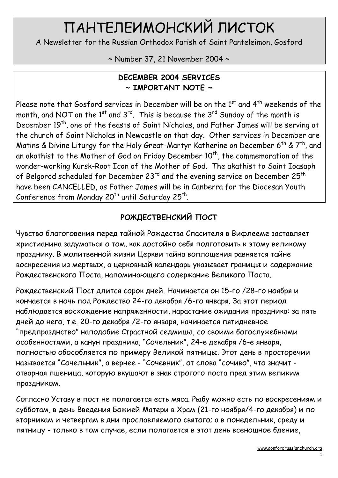# ПАНТЕЛЕИМОНСКИЙ ЛИСТОК

A Newsletter for the Russian Orthodox Parish of Saint Panteleimon, Gosford

~ Number 37, 21 November 2004 ~

#### DECEMBER 2004 SERVICES  $\sim$  IMPORTANT NOTE  $\sim$

Please note that Gosford services in December will be on the  $1<sup>st</sup>$  and  $4<sup>th</sup>$  weekends of the month, and NOT on the  $1^{st}$  and  $3^{rd}$ . This is because the  $3^{rd}$  Sunday of the month is December 19<sup>th</sup>, one of the feasts of Saint Nicholas, and Father James will be serving at the church of Saint Nicholas in Newcastle on that day. Other services in December are Matins & Divine Liturgy for the Holy Great-Martyr Katherine on December 6<sup>th</sup> &  $7<sup>th</sup>$ , and an akathist to the Mother of God on Friday December  $10^{th}$ , the commemoration of the wonder-working Kursk-Root Icon of the Mother of God. The akathist to Saint Ioasaph of Belgorod scheduled for December 23<sup>rd</sup> and the evening service on December 25<sup>th</sup> have been CANCELLED, as Father James will be in Canberra for the Diocesan Youth Conference from Monday 20<sup>th</sup> until Saturday 25<sup>th</sup>.

# РОЖДЕСТВЕНСКИЙ ПОСТ

Чувство благоговения перед тайной Рождества Спасителя в Вифлееме заставляет христианина задуматься о том, как достойно себя подготовить к этому великому празднику. В молитвенной жизни Церкви тайна воплощения равняется тайне воскресения из мертвых, а церковный календарь указывает границы и содержание Рождественского Поста, напоминающего содержание Великого Поста.

Рождественский Пост длится сорок дней. Начинается он 15-го /28-го ноября и кончается в ночь под Рождество 24-го декабря /6-го января. За этот период наблюдается восхождение напряженности, нарастание ожидания праздника: за пять дней до него, т.е. 20-го декабря /2-го января, начинается пятидневное "предпразднство" наподобие Страстной седмицы, со своими богослужебными особенностями, а канун праздника, "Сочельник", 24-е декабря /6-е января, полностью обособляется по примеру Великой пятницы. Этот день в просторечии называется "Сочельник", а вернее - "Сочевник", от слова "сочиво", что значит отварная пшеница, которую вкушают в знак строгого поста пред этим великим праздником.

Согласно Уставу в пост не полагается есть мяса. Рыбу можно есть по воскресениям и субботам, в день Введения Божией Матери в Храм (21-го ноября/4-го декабря) и по вторникам и четвергам в дни прославляемого святого; а в понедельник, среду и пятницу - только в том случае, если полагается в этот день всенощное бдение,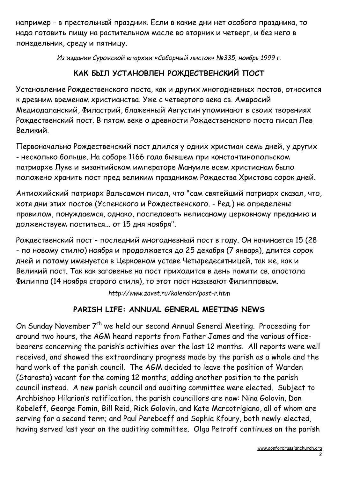например - в престольный праздник. Если в какие дни нет особого праздника, то надо готовить пищу на растительном масле во вторник и четверг, и без него в понедельник, среду и пятницу.

Из издания Сурожской епархии «Соборный листок» №335, ноябрь 1999 г.

### КАК БЫЛ УСТАНОВЛЕН РОЖДЕСТВЕНСКИЙ ПОСТ

Установление Рождественского поста, как и других многодневных постов, относится к древним временам христианства. Уже с четвертого века св. Амвросий Медиодаланский, Филастрий, блаженный Августин упоминают в своих творениях Рождественский пост. В пятом веке о древности Рождественского поста писал Лев Великий.

Первоначально Рождественский пост длился у одних христиан семь дней, у других - несколько больше. На соборе 1166 года бывшем при константинопольском патриархе Луке и византийском императоре Мануиле всем христианам было положено хранить пост пред великим праздником Рождества Христова сорок дней.

Антиохийский патриарх Вальсамон писал, что "сам святейший патриарх сказал, что, хотя дни этих постов (Успенского и Рождественского. - Ред.) не определены правилом, понуждаемся, однако, последовать неписаному церковному преданию и долженствуем поститься... от 15 дня ноября".

Рождественский пост - последний многодневный пост в году. Он начинается 15 (28 - по новому стилю) ноября и продолжается до 25 декабря (7 января), длится сорок дней и потому именуется в Церковном уставе Четыредесятницей, так же, как и Великий пост. Так как заговенье на пост приходится в день памяти св. апостола Филиппа (14 ноября старого стиля), то этот пост называют Филипповым.

http://www.zavet.ru/kalendar/post-r.htm

#### PARISH LIFE: ANNUAL GENERAL MEETING NEWS

On Sunday November 7<sup>th</sup> we held our second Annual General Meeting. Proceeding for around two hours, the AGM heard reports from Father James and the various officebearers concerning the parish's activities over the last 12 months. All reports were well received, and showed the extraordinary progress made by the parish as a whole and the hard work of the parish council. The AGM decided to leave the position of Warden (Starosta) vacant for the coming 12 months, adding another position to the parish council instead. A new parish council and auditing committee were elected. Subject to Archbishop Hilarion's ratification, the parish councillors are now: Nina Golovin, Don Kobeleff, George Fomin, Bill Reid, Rick Golovin, and Kate Marcotrigiano, all of whom are serving for a second term; and Paul Pereboeff and Sophia Kfoury, both newly-elected, having served last year on the auditing committee. Olga Petroff continues on the parish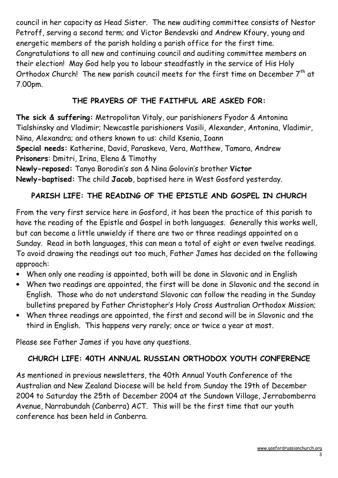council in her capacity as Head Sister. The new auditing committee consists of Nestor Petroff, serving a second term; and Victor Bendevski and Andrew Kfoury, young and energetic members of the parish holding a parish office for the first time. Congratulations to all new and continuing council and auditing committee members on their election! May God help you to labour steadfastly in the service of His Holy Orthodox Church! The new parish council meets for the first time on December  $7<sup>th</sup>$  at 7.00pm.

#### THE PRAYERS OF THE FAITHFUL ARE ASKED FOR:

The sick & suffering: Metropolitan Vitaly, our parishioners Fyodor & Antonina Tialshinsky and Vladimir; Newcastle parishioners Vasili, Alexander, Antonina, Vladimir, Nina, Alexandra; and others known to us: child Ksenia, Ioann

Special needs: Katherine, David, Paraskeva, Vera, Matthew, Tamara, Andrew Prisoners: Dmitri, Irina, Elena & Timothy

Newly-reposed: Tanya Borodin's son & Nina Golovin's brother Victor

Newly-baptised: The child Jacob, baptised here in West Gosford yesterday.

## PARISH LIFE: THE READING OF THE EPISTLE AND GOSPEL IN CHURCH

From the very first service here in Gosford, it has been the practice of this parish to have the reading of the Epistle and Gospel in both languages. Generally this works well, but can become a little unwieldy if there are two or three readings appointed on a Sunday. Read in both languages, this can mean a total of eight or even twelve readings. To avoid drawing the readings out too much, Father James has decided on the following approach:

- When only one reading is appointed, both will be done in Slavonic and in English
- When two readings are appointed, the first will be done in Slavonic and the second in English. Those who do not understand Slavonic can follow the reading in the Sunday bulletins prepared by Father Christopher's Holy Cross Australian Orthodox Mission;
- When three readings are appointed, the first and second will be in Slavonic and the third in English. This happens very rarely; once or twice a year at most.

Please see Father James if you have any questions.

#### CHURCH LIFE: 40TH ANNUAL RUSSIAN ORTHODOX YOUTH CONFERENCE

As mentioned in previous newsletters, the 40th Annual Youth Conference of the Australian and New Zealand Diocese will be held from Sunday the 19th of December 2004 to Saturday the 25th of December 2004 at the Sundown Village, Jerrabomberra Avenue, Narrabundah (Canberra) ACT. This will be the first time that our youth conference has been held in Canberra.